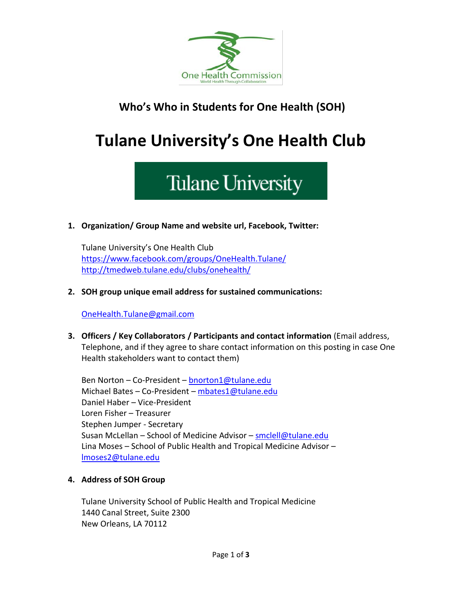

### **Who's Who in Students for One Health (SOH)**

## **Tulane University's One Health Club**

# **Tulane University**

**1. Organization/ Group Name and website url, Facebook, Twitter:**

Tulane University's One Health Club <https://www.facebook.com/groups/OneHealth.Tulane/> <http://tmedweb.tulane.edu/clubs/onehealth/>

**2. SOH group unique email address for sustained communications:**

[OneHealth.Tulane@gmail.com](mailto:OneHealth.Tulane@gmail.com)

**3. Officers / Key Collaborators / Participants and contact information** (Email address, Telephone, and if they agree to share contact information on this posting in case One Health stakeholders want to contact them)

Ben Norton – Co-President – **[bnorton1@tulane.edu](mailto:bnorton1@tulane.edu)** Michael Bates - Co-President - [mbates1@tulane.edu](mailto:mbates1@tulane.edu) Daniel Haber – Vice-President Loren Fisher – Treasurer Stephen Jumper - Secretary Susan McLellan – School of Medicine Advisor – [smclell@tulane.edu](mailto:smclell@tulane.edu) Lina Moses – School of Public Health and Tropical Medicine Advisor – [lmoses2@tulane.edu](mailto:lmoses2@tulane.edu)

#### **4. Address of SOH Group**

Tulane University School of Public Health and Tropical Medicine 1440 Canal Street, Suite 2300 New Orleans, LA 70112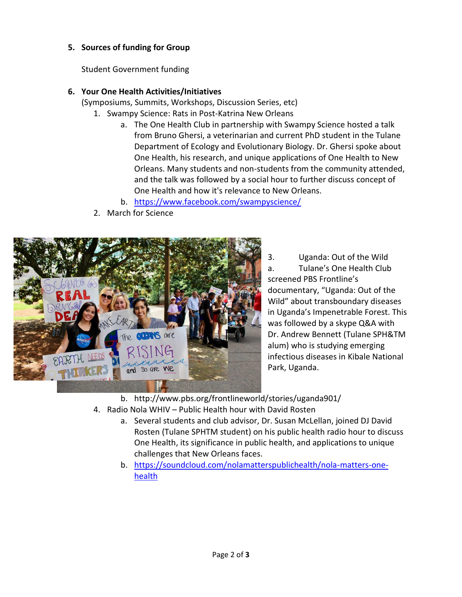#### **5. Sources of funding for Group**

Student Government funding

#### **6. Your One Health Activities/Initiatives**

(Symposiums, Summits, Workshops, Discussion Series, etc)

- 1. Swampy Science: Rats in Post-Katrina New Orleans
	- a. The One Health Club in partnership with Swampy Science hosted a talk from Bruno Ghersi, a veterinarian and current PhD student in the Tulane Department of Ecology and Evolutionary Biology. Dr. Ghersi spoke about One Health, his research, and unique applications of One Health to New Orleans. Many students and non-students from the community attended, and the talk was followed by a social hour to further discuss concept of One Health and how it's relevance to New Orleans.
	- b. <https://www.facebook.com/swampyscience/>
- 2. March for Science



3. Uganda: Out of the Wild a. Tulane's One Health Club screened PBS Frontline's documentary, "Uganda: Out of the Wild" about transboundary diseases in Uganda's Impenetrable Forest. This was followed by a skype Q&A with Dr. Andrew Bennett (Tulane SPH&TM alum) who is studying emerging infectious diseases in Kibale National Park, Uganda.

b. http://www.pbs.org/frontlineworld/stories/uganda901/

- 4. Radio Nola WHIV Public Health hour with David Rosten
	- a. Several students and club advisor, Dr. Susan McLellan, joined DJ David Rosten (Tulane SPHTM student) on his public health radio hour to discuss One Health, its significance in public health, and applications to unique challenges that New Orleans faces.
	- b. [https://soundcloud.com/nolamatterspublichealth/nola-matters-one](https://soundcloud.com/nolamatterspublichealth/nola-matters-one-health)[health](https://soundcloud.com/nolamatterspublichealth/nola-matters-one-health)